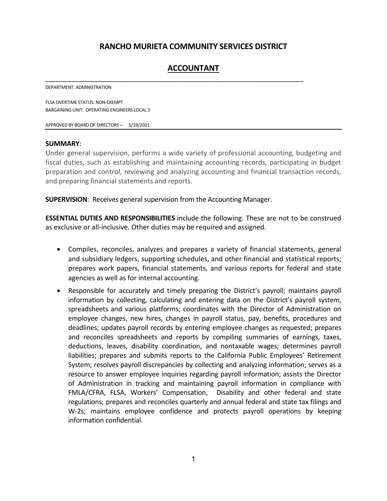# **RANCHO MURIETA COMMUNITY SERVICES DISTRICT**

# **ACCOUNTANT**

\_\_\_\_\_\_\_\_\_\_\_\_\_\_\_\_\_\_\_\_\_\_\_\_\_\_\_\_\_\_\_\_\_\_\_\_\_\_\_\_\_\_\_\_\_\_\_\_\_\_\_\_\_\_\_\_\_\_\_\_\_\_\_\_\_\_\_\_\_\_

DEPARTMENT: ADMINISTRATION

FLSA OVERTIME STATUS: NON-EXEMPT BARGAINING UNIT: OPERATING ENGINEERS LOCAL 3

APPROVED BY BOARD OF DIRECTORS – 5/19/2021

#### **SUMMARY**:

Under general supervision, performs a wide variety of professional accounting, budgeting and fiscal duties, such as establishing and maintaining accounting records, participating in budget preparation and control, reviewing and analyzing accounting and financial transaction records, and preparing financial statements and reports.

**SUPERVISION**: Receives general supervision from the Accounting Manager.

**ESSENTIAL DUTIES AND RESPONSIBILITIES** include the following. These are not to be construed as exclusive or all-inclusive. Other duties may be required and assigned.

- Compiles, reconciles, analyzes and prepares a variety of financial statements, general and subsidiary ledgers, supporting schedules, and other financial and statistical reports; prepares work papers, financial statements, and various reports for federal and state agencies as well as for internal accounting.
- Responsible for accurately and timely preparing the District's payroll; maintains payroll information by collecting, calculating and entering data on the District's payroll system, spreadsheets and various platforms; coordinates with the Director of Administration on employee changes, new hires, changes in payroll status, pay, benefits, procedures and deadlines; updates payroll records by entering employee changes as requested; prepares and reconciles spreadsheets and reports by compiling summaries of earnings, taxes, deductions, leaves, disability coordination, and nontaxable wages; determines payroll liabilities; prepares and submits reports to the California Public Employees' Retirement System; resolves payroll discrepancies by collecting and analyzing information; serves as a resource to answer employee inquiries regarding payroll information; assists the Director of Administration in tracking and maintaining payroll information in compliance with FMLA/CFRA, FLSA, Workers' Compensation, Disability and other federal and state regulations; prepares and reconciles quarterly and annual federal and state tax filings and W-2s; maintains employee confidence and protects payroll operations by keeping information confidential.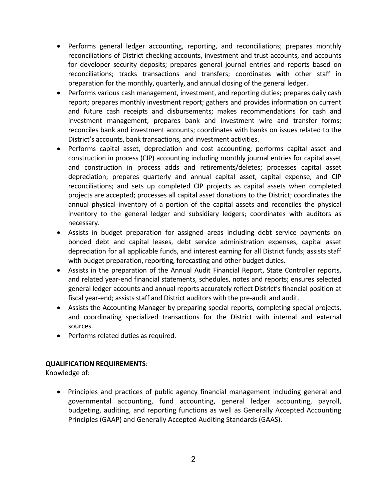- Performs general ledger accounting, reporting, and reconciliations; prepares monthly reconciliations of District checking accounts, investment and trust accounts, and accounts for developer security deposits; prepares general journal entries and reports based on reconciliations; tracks transactions and transfers; coordinates with other staff in preparation for the monthly, quarterly, and annual closing of the general ledger.
- Performs various cash management, investment, and reporting duties; prepares daily cash report; prepares monthly investment report; gathers and provides information on current and future cash receipts and disbursements; makes recommendations for cash and investment management; prepares bank and investment wire and transfer forms; reconciles bank and investment accounts; coordinates with banks on issues related to the District's accounts, bank transactions, and investment activities.
- Performs capital asset, depreciation and cost accounting; performs capital asset and construction in process (CIP) accounting including monthly journal entries for capital asset and construction in process adds and retirements/deletes; processes capital asset depreciation; prepares quarterly and annual capital asset, capital expense, and CIP reconciliations; and sets up completed CIP projects as capital assets when completed projects are accepted; processes all capital asset donations to the District; coordinates the annual physical inventory of a portion of the capital assets and reconciles the physical inventory to the general ledger and subsidiary ledgers; coordinates with auditors as necessary.
- Assists in budget preparation for assigned areas including debt service payments on bonded debt and capital leases, debt service administration expenses, capital asset depreciation for all applicable funds, and interest earning for all District funds; assists staff with budget preparation, reporting, forecasting and other budget duties.
- Assists in the preparation of the Annual Audit Financial Report, State Controller reports, and related year-end financial statements, schedules, notes and reports; ensures selected general ledger accounts and annual reports accurately reflect District's financial position at fiscal year-end; assists staff and District auditors with the pre-audit and audit.
- Assists the Accounting Manager by preparing special reports, completing special projects, and coordinating specialized transactions for the District with internal and external sources.
- Performs related duties as required.

# **QUALIFICATION REQUIREMENTS**:

Knowledge of:

• Principles and practices of public agency financial management including general and governmental accounting, fund accounting, general ledger accounting, payroll, budgeting, auditing, and reporting functions as well as Generally Accepted Accounting Principles (GAAP) and Generally Accepted Auditing Standards (GAAS).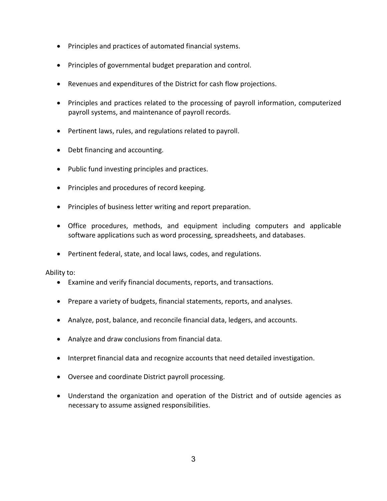- Principles and practices of automated financial systems.
- Principles of governmental budget preparation and control.
- Revenues and expenditures of the District for cash flow projections.
- Principles and practices related to the processing of payroll information, computerized payroll systems, and maintenance of payroll records.
- Pertinent laws, rules, and regulations related to payroll.
- Debt financing and accounting.
- Public fund investing principles and practices.
- Principles and procedures of record keeping.
- Principles of business letter writing and report preparation.
- Office procedures, methods, and equipment including computers and applicable software applications such as word processing, spreadsheets, and databases.
- Pertinent federal, state, and local laws, codes, and regulations.

Ability to:

- Examine and verify financial documents, reports, and transactions.
- Prepare a variety of budgets, financial statements, reports, and analyses.
- Analyze, post, balance, and reconcile financial data, ledgers, and accounts.
- Analyze and draw conclusions from financial data.
- Interpret financial data and recognize accounts that need detailed investigation.
- Oversee and coordinate District payroll processing.
- Understand the organization and operation of the District and of outside agencies as necessary to assume assigned responsibilities.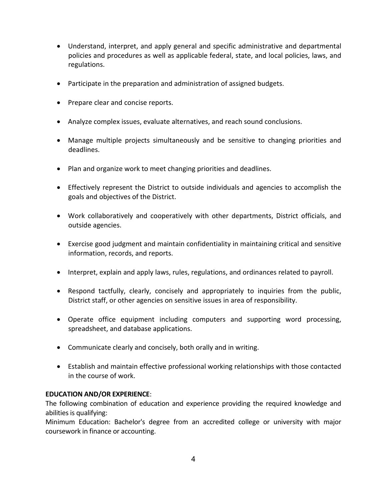- Understand, interpret, and apply general and specific administrative and departmental policies and procedures as well as applicable federal, state, and local policies, laws, and regulations.
- Participate in the preparation and administration of assigned budgets.
- Prepare clear and concise reports.
- Analyze complex issues, evaluate alternatives, and reach sound conclusions.
- Manage multiple projects simultaneously and be sensitive to changing priorities and deadlines.
- Plan and organize work to meet changing priorities and deadlines.
- Effectively represent the District to outside individuals and agencies to accomplish the goals and objectives of the District.
- Work collaboratively and cooperatively with other departments, District officials, and outside agencies.
- Exercise good judgment and maintain confidentiality in maintaining critical and sensitive information, records, and reports.
- Interpret, explain and apply laws, rules, regulations, and ordinances related to payroll.
- Respond tactfully, clearly, concisely and appropriately to inquiries from the public, District staff, or other agencies on sensitive issues in area of responsibility.
- Operate office equipment including computers and supporting word processing, spreadsheet, and database applications.
- Communicate clearly and concisely, both orally and in writing.
- Establish and maintain effective professional working relationships with those contacted in the course of work.

# **EDUCATION AND/OR EXPERIENCE**:

The following combination of education and experience providing the required knowledge and abilities is qualifying:

Minimum Education: Bachelor's degree from an accredited college or university with major coursework in finance or accounting.